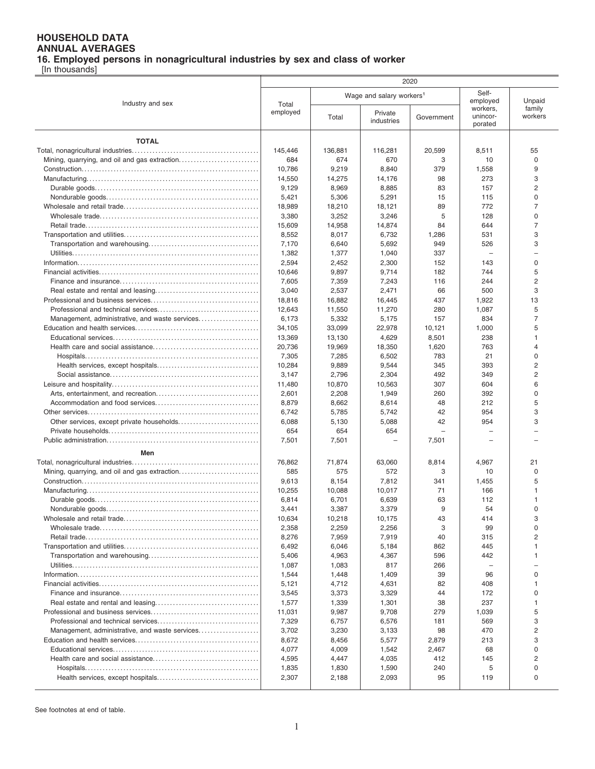## **HOUSEHOLD DATA ANNUAL AVERAGES**

**16. Employed persons in nonagricultural industries by sex and class of worker**

[In thousands]

|                                                | 2020              |                                      |                       |            |                                 |                     |  |  |
|------------------------------------------------|-------------------|--------------------------------------|-----------------------|------------|---------------------------------|---------------------|--|--|
| Industry and sex                               | Total<br>employed | Wage and salary workers <sup>1</sup> |                       |            | Self-<br>employed               | Unpaid              |  |  |
|                                                |                   | Total                                | Private<br>industries | Government | workers.<br>unincor-<br>porated | family<br>workers   |  |  |
| <b>TOTAL</b>                                   |                   |                                      |                       |            |                                 |                     |  |  |
|                                                | 145,446           | 136,881                              | 116,281               | 20,599     | 8,511                           | 55                  |  |  |
| Mining, quarrying, and oil and gas extraction  | 684               | 674                                  | 670                   | 3          | 10                              | $\mathbf 0$         |  |  |
|                                                | 10,786            | 9,219                                | 8,840                 | 379        | 1,558                           | 9                   |  |  |
|                                                | 14,550            | 14,275                               | 14,176                | 98         | 273                             | 3                   |  |  |
|                                                | 9,129             | 8,969                                | 8,885                 | 83         | 157                             | $\overline{2}$      |  |  |
|                                                | 5,421             | 5,306                                | 5,291                 | 15         | 115                             | 0                   |  |  |
|                                                | 18,989            | 18,210                               | 18,121                | 89         | 772                             | $\overline{7}$      |  |  |
|                                                | 3,380             | 3,252                                | 3,246                 | 5          | 128                             | $\Omega$            |  |  |
|                                                | 15,609            | 14,958                               | 14,874                | 84         | 644                             | $\overline{7}$      |  |  |
|                                                | 8,552             | 8,017                                | 6,732                 | 1,286      | 531                             | 3                   |  |  |
|                                                | 7,170             | 6,640                                | 5,692                 | 949        | 526                             | 3                   |  |  |
|                                                | 1,382             | 1,377                                | 1,040                 | 337        |                                 |                     |  |  |
|                                                | 2,594             | 2,452                                | 2,300                 | 152        | 143                             | $\Omega$            |  |  |
|                                                | 10,646            | 9,897                                | 9,714                 | 182        | 744<br>244                      | 5<br>$\overline{2}$ |  |  |
|                                                | 7,605<br>3,040    | 7,359<br>2,537                       | 7,243<br>2,471        | 116<br>66  | 500                             | 3                   |  |  |
|                                                | 18,816            | 16,882                               | 16,445                | 437        | 1,922                           | 13                  |  |  |
|                                                | 12,643            | 11,550                               | 11,270                | 280        | 1,087                           | 5                   |  |  |
| Management, administrative, and waste services | 6,173             | 5,332                                | 5,175                 | 157        | 834                             | 7                   |  |  |
|                                                | 34,105            | 33,099                               | 22,978                | 10,121     | 1,000                           | 5                   |  |  |
|                                                | 13,369            | 13,130                               | 4,629                 | 8,501      | 238                             | $\overline{1}$      |  |  |
|                                                | 20,736            | 19,969                               | 18,350                | 1,620      | 763                             | $\overline{4}$      |  |  |
|                                                | 7,305             | 7,285                                | 6,502                 | 783        | 21                              | $\Omega$            |  |  |
|                                                | 10,284            | 9,889                                | 9,544                 | 345        | 393                             | $\overline{c}$      |  |  |
|                                                | 3,147             | 2,796                                | 2,304                 | 492        | 349                             | $\overline{c}$      |  |  |
|                                                | 11,480            | 10,870                               | 10,563                | 307        | 604                             | 6                   |  |  |
|                                                | 2,601             | 2,208                                | 1,949                 | 260        | 392                             | $\mathbf 0$         |  |  |
|                                                | 8,879             | 8,662                                | 8,614                 | 48         | 212                             | 5                   |  |  |
|                                                | 6,742             | 5,785                                | 5,742                 | 42         | 954                             | 3                   |  |  |
|                                                | 6,088             | 5,130                                | 5,088                 | 42         | 954                             | 3                   |  |  |
|                                                | 654               | 654                                  | 654                   |            |                                 |                     |  |  |
|                                                | 7,501             | 7,501                                |                       | 7,501      |                                 |                     |  |  |
| Men                                            |                   |                                      |                       |            |                                 |                     |  |  |
|                                                | 76,862            | 71,874                               | 63,060                | 8,814      | 4,967                           | 21                  |  |  |
| Mining, quarrying, and oil and gas extraction  | 585               | 575                                  | 572                   | 3          | 10                              | 0                   |  |  |
|                                                | 9,613             | 8,154                                | 7,812                 | 341        | 1,455                           | 5                   |  |  |
|                                                | 10,255            | 10,088                               | 10,017                | 71         | 166                             | 1                   |  |  |
|                                                | 6,814             | 6,701                                | 6,639                 | 63<br>9    | 112                             | 1<br>$\Omega$       |  |  |
|                                                | 3,441             | 3,387                                | 3,379                 | 43         | 54<br>414                       | 3                   |  |  |
|                                                | 10,634<br>2,358   | 10,218<br>2,259                      | 10,175<br>2,256       | 3          | 99                              | $\Omega$            |  |  |
|                                                | 8,276             | 7,959                                | 7,919                 | 40         | 315                             | 2                   |  |  |
|                                                | 6,492             | 6,046                                | 5,184                 | 862        | 445                             |                     |  |  |
|                                                | 5,406             | 4,963                                | 4,367                 | 596        | 442                             |                     |  |  |
|                                                | 1,087             | 1,083                                | 817                   | 266        |                                 |                     |  |  |
|                                                | 1,544             | 1,448                                | 1,409                 | 39         | 96                              | 0                   |  |  |
|                                                | 5,121             | 4,712                                | 4,631                 | 82         | 408                             | 1                   |  |  |
|                                                | 3,545             | 3,373                                | 3,329                 | 44         | 172                             | $\Omega$            |  |  |
|                                                | 1,577             | 1,339                                | 1,301                 | 38         | 237                             |                     |  |  |
|                                                | 11,031            | 9,987                                | 9,708                 | 279        | 1,039                           | 5                   |  |  |
|                                                | 7,329             | 6,757                                | 6,576                 | 181        | 569                             | 3                   |  |  |
| Management, administrative, and waste services | 3,702             | 3,230                                | 3,133                 | 98         | 470                             | 2                   |  |  |
|                                                | 8,672             | 8,456                                | 5,577                 | 2,879      | 213                             | 3                   |  |  |
|                                                | 4,077             | 4,009                                | 1,542                 | 2,467      | 68                              | $\Omega$            |  |  |
|                                                | 4,595             | 4,447                                | 4,035                 | 412        | 145                             | 2                   |  |  |
|                                                | 1,835             | 1,830                                | 1,590                 | 240        | 5                               | 0                   |  |  |
|                                                | 2,307             | 2,188                                | 2,093                 | 95         | 119                             | 0                   |  |  |

See footnotes at end of table.